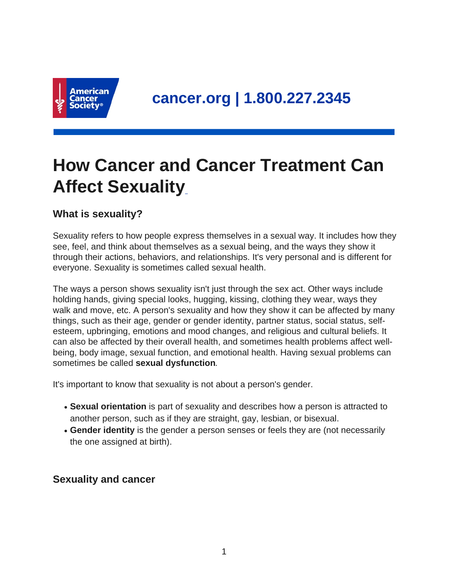

# **How Cancer and Cancer Treatment Can Affect Sexuality**

## **What is sexuality?**

Sexuality refers to how people express themselves in a sexual way. It includes how they see, feel, and think about themselves as a sexual being, and the ways they show it through their actions, behaviors, and relationships. It's very personal and is different for everyone. Sexuality is sometimes called sexual health.

The ways a person shows sexuality isn't just through the sex act. Other ways include holding hands, giving special looks, hugging, kissing, clothing they wear, ways they walk and move, etc. A person's sexuality and how they show it can be affected by many things, such as their age, gender or gender identity, partner status, social status, selfesteem, upbringing, emotions and mood changes, and religious and cultural beliefs. It can also be affected by their overall health, and sometimes health problems affect wellbeing, body image, sexual function, and emotional health. Having sexual problems can sometimes be called **sexual dysfunction**.

It's important to know that sexuality is not about a person's gender.

- Sexual orientation is part of sexuality and describes how a person is attracted to another person, such as if they are straight, gay, lesbian, or bisexual.
- Gender identity is the gender a person senses or feels they are (not necessarily the one assigned at birth).

#### **Sexuality and cancer**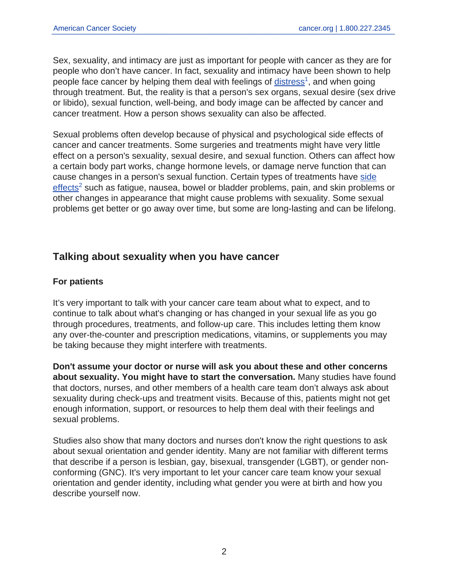Sex, sexuality, and intimacy are just as important for people with cancer as they are for people who don't have cancer. In fact, sexuality and intimacy have been shown to help people face cancer by helping them deal with feelings of **[distress](https://www.cancer.org/content/cancer/en/treatment/treatments-and-side-effects/physical-side-effects/emotional-mood-changes/distress.html)<sup>1</sup>, and when going** through treatment. But, the reality is that a person's sex organs, sexual desire (sex drive or libido), sexual function, well-being, and body image can be affected by cancer and cancer treatment. How a person shows sexuality can also be affected.

Sexual problems often develop because of physical and psychological side effects of cancer and cancer treatments. Some surgeries and treatments might have very little effect on a person's sexuality, sexual desire, and sexual function. Others can affect how a certain body part works, change hormone levels, or damage nerve function that can cause changes in a person's sexual function. Certain types of treatments have [side](https://www.cancer.org/content/cancer/en/treatment/treatments-and-side-effects/physical-side-effects.html) [effects](https://www.cancer.org/content/cancer/en/treatment/treatments-and-side-effects/physical-side-effects.html)<sup>2</sup> such as fatigue, nausea, bowel or bladder problems, pain, and skin problems or other changes in appearance that might cause problems with sexuality. Some sexual problems get better or go away over time, but some are long-lasting and can be lifelong.

### **Talking about sexuality when you have cancer**

#### **For patients**

It's very important to talk with your cancer care team about what to expect, and to continue to talk about what's changing or has changed in your sexual life as you go through procedures, treatments, and follow-up care. This includes letting them know any over-the-counter and prescription medications, vitamins, or supplements you may be taking because they might interfere with treatments.

**Don't assume your doctor or nurse will ask you about these and other concerns about sexuality. You might have to start the conversation.** Many studies have found that doctors, nurses, and other members of a health care team don't always ask about sexuality during check-ups and treatment visits. Because of this, patients might not get enough information, support, or resources to help them deal with their feelings and sexual problems.

Studies also show that many doctors and nurses don't know the right questions to ask about sexual orientation and gender identity. Many are not familiar with different terms that describe if a person is lesbian, gay, bisexual, transgender (LGBT), or gender nonconforming (GNC). It's very important to let your cancer care team know your sexual orientation and gender identity, including what gender you were at birth and how you describe yourself now.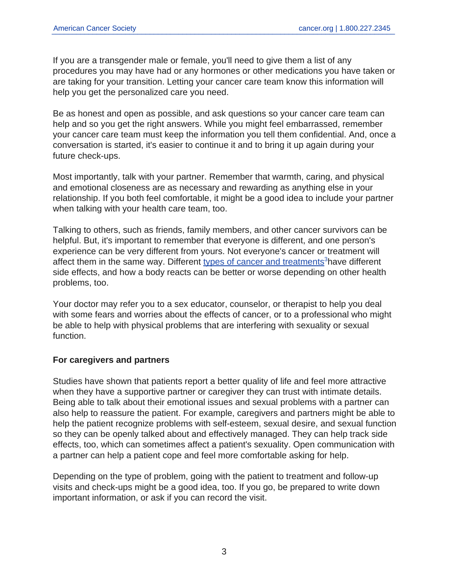If you are a transgender male or female, you'll need to give them a list of any procedures you may have had or any hormones or other medications you have taken or are taking for your transition. Letting your cancer care team know this information will help you get the personalized care you need.

Be as honest and open as possible, and ask questions so your cancer care team can help and so you get the right answers. While you might feel embarrassed, remember your cancer care team must keep the information you tell them confidential. And, once a conversation is started, it's easier to continue it and to bring it up again during your future check-ups.

Most importantly, talk with your partner. Remember that warmth, caring, and physical and emotional closeness are as necessary and rewarding as anything else in your relationship. If you both feel comfortable, it might be a good idea to include your partner when talking with your health care team, too.

Talking to others, such as friends, family members, and other cancer survivors can be helpful. But, it's important to remember that everyone is different, and one person's experience can be very different from yours. Not everyone's cancer or treatment will affect them in the same way. Different [types of cancer and treatments](https://www.cancer.org/content/cancer/en/treatment/treatments-and-side-effects/treatment-types.html)<sup>3</sup> have different side effects, and how a body reacts can be better or worse depending on other health problems, too.

Your doctor may refer you to a sex educator, counselor, or therapist to help you deal with some fears and worries about the effects of cancer, or to a professional who might be able to help with physical problems that are interfering with sexuality or sexual function.

#### **For caregivers and partners**

Studies have shown that patients report a better quality of life and feel more attractive when they have a supportive partner or caregiver they can trust with intimate details. Being able to talk about their emotional issues and sexual problems with a partner can also help to reassure the patient. For example, caregivers and partners might be able to help the patient recognize problems with self-esteem, sexual desire, and sexual function so they can be openly talked about and effectively managed. They can help track side effects, too, which can sometimes affect a patient's sexuality. Open communication with a partner can help a patient cope and feel more comfortable asking for help.

Depending on the type of problem, going with the patient to treatment and follow-up visits and check-ups might be a good idea, too. If you go, be prepared to write down important information, or ask if you can record the visit.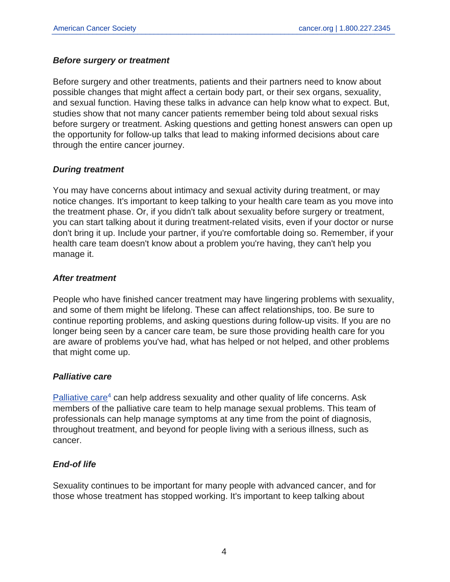#### **Before surgery or treatment**

Before surgery and other treatments, patients and their partners need to know about possible changes that might affect a certain body part, or their sex organs, sexuality, and sexual function. Having these talks in advance can help know what to expect. But, studies show that not many cancer patients remember being told about sexual risks before surgery or treatment. Asking questions and getting honest answers can open up the opportunity for follow-up talks that lead to making informed decisions about care through the entire cancer journey.

#### **During treatment**

You may have concerns about intimacy and sexual activity during treatment, or may notice changes. It's important to keep talking to your health care team as you move into the treatment phase. Or, if you didn't talk about sexuality before surgery or treatment, you can start talking about it during treatment-related visits, even if your doctor or nurse don't bring it up. Include your partner, if you're comfortable doing so. Remember, if your health care team doesn't know about a problem you're having, they can't help you manage it.

#### **After treatment**

People who have finished cancer treatment may have lingering problems with sexuality, and some of them might be lifelong. These can affect relationships, too. Be sure to continue reporting problems, and asking questions during follow-up visits. If you are no longer being seen by a cancer care team, be sure those providing health care for you are aware of problems you've had, what has helped or not helped, and other problems that might come up.

#### **Palliative care**

[Palliative care](https://www.cancer.org/content/cancer/en/treatment/treatments-and-side-effects/palliative-care.html)<sup>4</sup> can help address sexuality and other quality of life concerns. Ask members of the palliative care team to help manage sexual problems. This team of professionals can help manage symptoms at any time from the point of diagnosis, throughout treatment, and beyond for people living with a serious illness, such as cancer.

#### **End-of life**

Sexuality continues to be important for many people with advanced cancer, and for those whose treatment has stopped working. It's important to keep talking about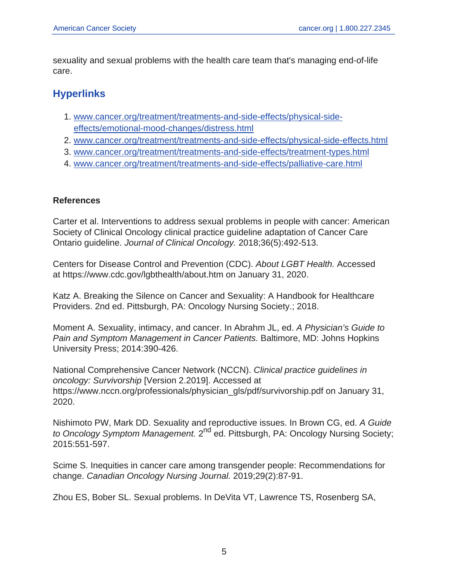sexuality and sexual problems with the health care team that's managing end-of-life care.

## **Hyperlinks**

- 1. [www.cancer.org/treatment/treatments-and-side-effects/physical-side](https://www.cancer.org/treatment/treatments-and-side-effects/physical-side-effects/emotional-mood-changes/distress.html)[effects/emotional-mood-changes/distress.html](https://www.cancer.org/treatment/treatments-and-side-effects/physical-side-effects/emotional-mood-changes/distress.html)
- 2. [www.cancer.org/treatment/treatments-and-side-effects/physical-side-effects.html](https://www.cancer.org/treatment/treatments-and-side-effects/physical-side-effects.html)
- 3. [www.cancer.org/treatment/treatments-and-side-effects/treatment-types.html](https://www.cancer.org/treatment/treatments-and-side-effects/treatment-types.html)
- 4. [www.cancer.org/treatment/treatments-and-side-effects/palliative-care.html](https://www.cancer.org/treatment/treatments-and-side-effects/palliative-care.html)

#### **References**

Carter et al. Interventions to address sexual problems in people with cancer: American Society of Clinical Oncology clinical practice guideline adaptation of Cancer Care Ontario guideline. Journal of Clinical Oncology. 2018;36(5):492-513.

Centers for Disease Control and Prevention (CDC). About LGBT Health. Accessed at https://www.cdc.gov/lgbthealth/about.htm on January 31, 2020.

Katz A. Breaking the Silence on Cancer and Sexuality: A Handbook for Healthcare Providers. 2nd ed. Pittsburgh, PA: Oncology Nursing Society.; 2018.

Moment A. Sexuality, intimacy, and cancer. In Abrahm JL, ed. A Physician's Guide to Pain and Symptom Management in Cancer Patients. Baltimore, MD: Johns Hopkins University Press; 2014:390-426.

National Comprehensive Cancer Network (NCCN). Clinical practice guidelines in oncology: Survivorship [Version 2.2019]. Accessed at https://www.nccn.org/professionals/physician\_gls/pdf/survivorship.pdf on January 31, 2020.

Nishimoto PW, Mark DD. Sexuality and reproductive issues. In Brown CG, ed. A Guide to Oncology Symptom Management. 2<sup>nd</sup> ed. Pittsburgh, PA: Oncology Nursing Society; 2015:551-597.

Scime S. Inequities in cancer care among transgender people: Recommendations for change. Canadian Oncology Nursing Journal. 2019;29(2):87-91.

Zhou ES, Bober SL. Sexual problems. In DeVita VT, Lawrence TS, Rosenberg SA,